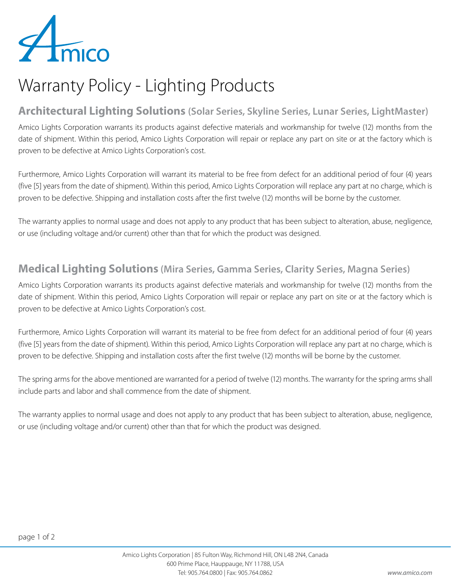

## Warranty Policy - Lighting Products

#### **Architectural Lighting Solutions (Solar Series, Skyline Series, Lunar Series, LightMaster)**

Amico Lights Corporation warrants its products against defective materials and workmanship for twelve (12) months from the date of shipment. Within this period, Amico Lights Corporation will repair or replace any part on site or at the factory which is proven to be defective at Amico Lights Corporation's cost.

Furthermore, Amico Lights Corporation will warrant its material to be free from defect for an additional period of four (4) years (five [5] years from the date of shipment). Within this period, Amico Lights Corporation will replace any part at no charge, which is proven to be defective. Shipping and installation costs after the first twelve (12) months will be borne by the customer.

The warranty applies to normal usage and does not apply to any product that has been subject to alteration, abuse, negligence, or use (including voltage and/or current) other than that for which the product was designed.

#### **Medical Lighting Solutions (Mira Series, Gamma Series, Clarity Series, Magna Series)**

Amico Lights Corporation warrants its products against defective materials and workmanship for twelve (12) months from the date of shipment. Within this period, Amico Lights Corporation will repair or replace any part on site or at the factory which is proven to be defective at Amico Lights Corporation's cost.

Furthermore, Amico Lights Corporation will warrant its material to be free from defect for an additional period of four (4) years (five [5] years from the date of shipment). Within this period, Amico Lights Corporation will replace any part at no charge, which is proven to be defective. Shipping and installation costs after the first twelve (12) months will be borne by the customer.

The spring arms for the above mentioned are warranted for a period of twelve (12) months. The warranty for the spring arms shall include parts and labor and shall commence from the date of shipment.

The warranty applies to normal usage and does not apply to any product that has been subject to alteration, abuse, negligence, or use (including voltage and/or current) other than that for which the product was designed.